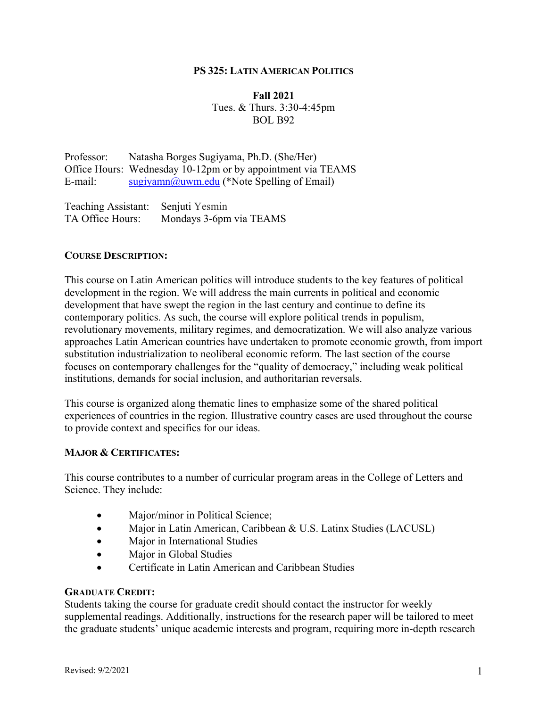### **PS 325: LATIN AMERICAN POLITICS**

### **Fall 2021** Tues. & Thurs. 3:30-4:45pm BOL B92

Professor: Natasha Borges Sugiyama, Ph.D. (She/Her) Office Hours: Wednesday 10-12pm or by appointment via TEAMS E-mail: sugiyamn@uwm.edu (\*Note Spelling of Email)

Teaching Assistant: Senjuti Yesmin TA Office Hours: Mondays 3-6pm via TEAMS

### **COURSE DESCRIPTION:**

This course on Latin American politics will introduce students to the key features of political development in the region. We will address the main currents in political and economic development that have swept the region in the last century and continue to define its contemporary politics. As such, the course will explore political trends in populism, revolutionary movements, military regimes, and democratization. We will also analyze various approaches Latin American countries have undertaken to promote economic growth, from import substitution industrialization to neoliberal economic reform. The last section of the course focuses on contemporary challenges for the "quality of democracy," including weak political institutions, demands for social inclusion, and authoritarian reversals.

This course is organized along thematic lines to emphasize some of the shared political experiences of countries in the region. Illustrative country cases are used throughout the course to provide context and specifics for our ideas.

### **MAJOR & CERTIFICATES:**

This course contributes to a number of curricular program areas in the College of Letters and Science. They include:

- Major/minor in Political Science;
- Major in Latin American, Caribbean & U.S. Latinx Studies (LACUSL)
- Major in International Studies
- Major in Global Studies
- Certificate in Latin American and Caribbean Studies

### **GRADUATE CREDIT:**

Students taking the course for graduate credit should contact the instructor for weekly supplemental readings. Additionally, instructions for the research paper will be tailored to meet the graduate students' unique academic interests and program, requiring more in-depth research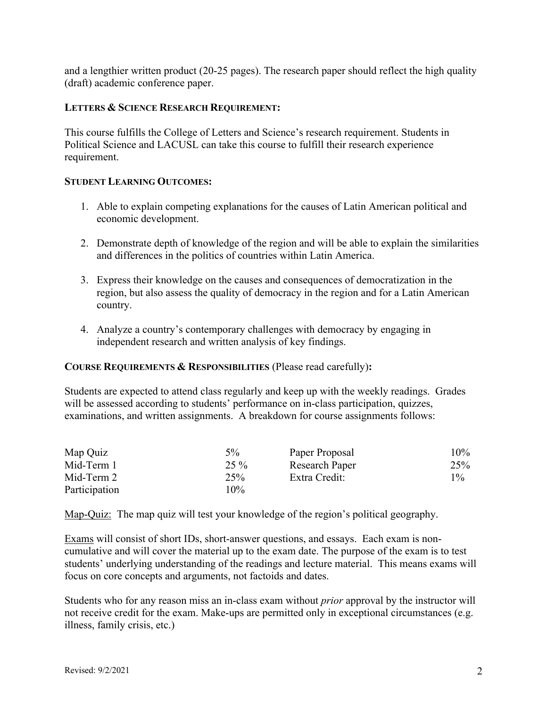and a lengthier written product (20-25 pages). The research paper should reflect the high quality (draft) academic conference paper.

### **LETTERS & SCIENCE RESEARCH REQUIREMENT:**

This course fulfills the College of Letters and Science's research requirement. Students in Political Science and LACUSL can take this course to fulfill their research experience requirement.

### **STUDENT LEARNING OUTCOMES:**

- 1. Able to explain competing explanations for the causes of Latin American political and economic development.
- 2. Demonstrate depth of knowledge of the region and will be able to explain the similarities and differences in the politics of countries within Latin America.
- 3. Express their knowledge on the causes and consequences of democratization in the region, but also assess the quality of democracy in the region and for a Latin American country.
- 4. Analyze a country's contemporary challenges with democracy by engaging in independent research and written analysis of key findings.

### **COURSE REQUIREMENTS & RESPONSIBILITIES** (Please read carefully)**:**

Students are expected to attend class regularly and keep up with the weekly readings. Grades will be assessed according to students' performance on in-class participation, quizzes, examinations, and written assignments. A breakdown for course assignments follows:

| Map Quiz      | $5\%$  | Paper Proposal        | 10%   |
|---------------|--------|-----------------------|-------|
| Mid-Term 1    | $25\%$ | <b>Research Paper</b> | 25%   |
| Mid-Term 2    | 25%    | Extra Credit:         | $1\%$ |
| Participation | $10\%$ |                       |       |

Map-Quiz: The map quiz will test your knowledge of the region's political geography.

Exams will consist of short IDs, short-answer questions, and essays. Each exam is noncumulative and will cover the material up to the exam date. The purpose of the exam is to test students' underlying understanding of the readings and lecture material. This means exams will focus on core concepts and arguments, not factoids and dates.

Students who for any reason miss an in-class exam without *prior* approval by the instructor will not receive credit for the exam. Make-ups are permitted only in exceptional circumstances (e.g. illness, family crisis, etc.)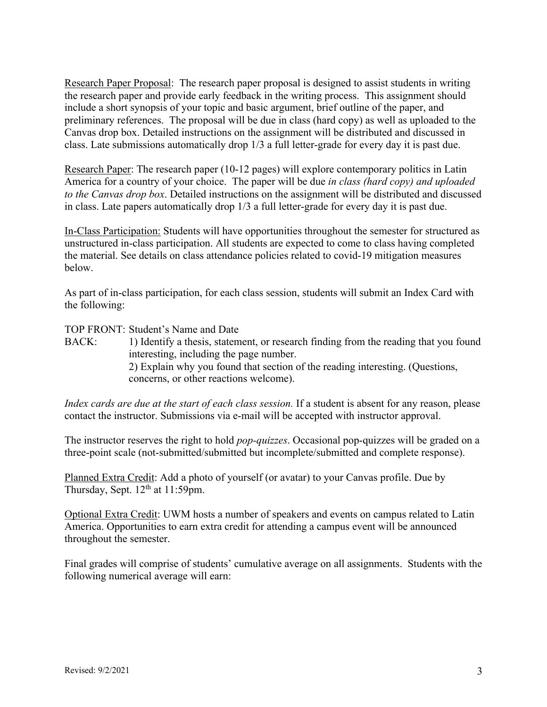Research Paper Proposal: The research paper proposal is designed to assist students in writing the research paper and provide early feedback in the writing process. This assignment should include a short synopsis of your topic and basic argument, brief outline of the paper, and preliminary references. The proposal will be due in class (hard copy) as well as uploaded to the Canvas drop box. Detailed instructions on the assignment will be distributed and discussed in class. Late submissions automatically drop 1/3 a full letter-grade for every day it is past due.

Research Paper: The research paper (10-12 pages) will explore contemporary politics in Latin America for a country of your choice. The paper will be due *in class (hard copy) and uploaded to the Canvas drop box*. Detailed instructions on the assignment will be distributed and discussed in class. Late papers automatically drop 1/3 a full letter-grade for every day it is past due.

In-Class Participation: Students will have opportunities throughout the semester for structured as unstructured in-class participation. All students are expected to come to class having completed the material. See details on class attendance policies related to covid-19 mitigation measures below.

As part of in-class participation, for each class session, students will submit an Index Card with the following:

TOP FRONT: Student's Name and Date

BACK: 1) Identify a thesis, statement, or research finding from the reading that you found interesting, including the page number. 2) Explain why you found that section of the reading interesting. (Questions, concerns, or other reactions welcome).

*Index cards are due at the start of each class session.* If a student is absent for any reason, please contact the instructor. Submissions via e-mail will be accepted with instructor approval.

The instructor reserves the right to hold *pop-quizzes*. Occasional pop-quizzes will be graded on a three-point scale (not-submitted/submitted but incomplete/submitted and complete response).

Planned Extra Credit: Add a photo of yourself (or avatar) to your Canvas profile. Due by Thursday, Sept. 12<sup>th</sup> at 11:59pm.

Optional Extra Credit: UWM hosts a number of speakers and events on campus related to Latin America. Opportunities to earn extra credit for attending a campus event will be announced throughout the semester.

Final grades will comprise of students' cumulative average on all assignments. Students with the following numerical average will earn: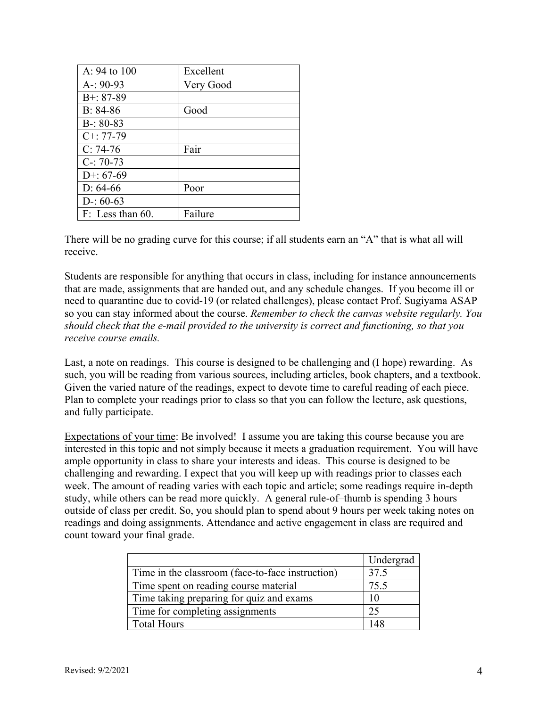| A: 94 to 100     | Excellent |
|------------------|-----------|
| $A-: 90-93$      | Very Good |
| $B+: 87-89$      |           |
| $B: 84-86$       | Good      |
| $B-: 80-83$      |           |
| $C^{+}$ : 77-79  |           |
| $C: 74-76$       | Fair      |
| $C-: 70-73$      |           |
| $D+: 67-69$      |           |
| $D: 64-66$       | Poor      |
| $D-: 60-63$      |           |
| F: Less than 60. | Failure   |

There will be no grading curve for this course; if all students earn an "A" that is what all will receive.

Students are responsible for anything that occurs in class, including for instance announcements that are made, assignments that are handed out, and any schedule changes. If you become ill or need to quarantine due to covid-19 (or related challenges), please contact Prof. Sugiyama ASAP so you can stay informed about the course. *Remember to check the canvas website regularly. You should check that the e-mail provided to the university is correct and functioning, so that you receive course emails.*

Last, a note on readings. This course is designed to be challenging and (I hope) rewarding. As such, you will be reading from various sources, including articles, book chapters, and a textbook. Given the varied nature of the readings, expect to devote time to careful reading of each piece. Plan to complete your readings prior to class so that you can follow the lecture, ask questions, and fully participate.

Expectations of your time: Be involved! I assume you are taking this course because you are interested in this topic and not simply because it meets a graduation requirement. You will have ample opportunity in class to share your interests and ideas. This course is designed to be challenging and rewarding. I expect that you will keep up with readings prior to classes each week. The amount of reading varies with each topic and article; some readings require in-depth study, while others can be read more quickly. A general rule-of–thumb is spending 3 hours outside of class per credit. So, you should plan to spend about 9 hours per week taking notes on readings and doing assignments. Attendance and active engagement in class are required and count toward your final grade.

|                                                  | Undergrad |
|--------------------------------------------------|-----------|
| Time in the classroom (face-to-face instruction) | 37.5      |
| Time spent on reading course material            | 75.5      |
| Time taking preparing for quiz and exams         | 10        |
| Time for completing assignments                  | 25        |
| <b>Total Hours</b>                               |           |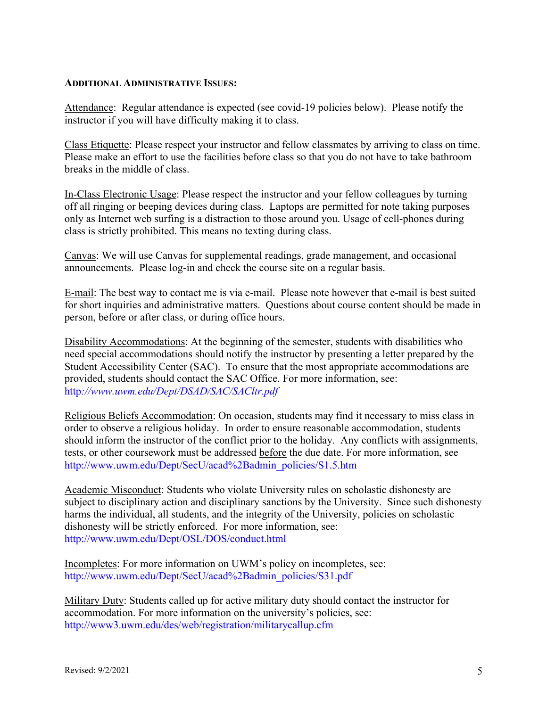### **ADDITIONAL ADMINISTRATIVE ISSUES:**

Attendance: Regular attendance is expected (see covid-19 policies below). Please notify the instructor if you will have difficulty making it to class.

Class Etiquette: Please respect your instructor and fellow classmates by arriving to class on time. Please make an effort to use the facilities before class so that you do not have to take bathroom breaks in the middle of class.

In-Class Electronic Usage: Please respect the instructor and your fellow colleagues by turning off all ringing or beeping devices during class. Laptops are permitted for note taking purposes only as Internet web surfing is a distraction to those around you. Usage of cell-phones during class is strictly prohibited. This means no texting during class.

Canvas: We will use Canvas for supplemental readings, grade management, and occasional announcements. Please log-in and check the course site on a regular basis.

E-mail: The best way to contact me is via e-mail. Please note however that e-mail is best suited for short inquiries and administrative matters. Questions about course content should be made in person, before or after class, or during office hours.

Disability Accommodations: At the beginning of the semester, students with disabilities who need special accommodations should notify the instructor by presenting a letter prepared by the Student Accessibility Center (SAC). To ensure that the most appropriate accommodations are provided, students should contact the SAC Office. For more information, see: http*://www.uwm.edu/Dept/DSAD/SAC/SACltr.pdf*

Religious Beliefs Accommodation: On occasion, students may find it necessary to miss class in order to observe a religious holiday. In order to ensure reasonable accommodation, students should inform the instructor of the conflict prior to the holiday. Any conflicts with assignments, tests, or other coursework must be addressed before the due date. For more information, see http://www.uwm.edu/Dept/SecU/acad%2Badmin\_policies/S1.5.htm

Academic Misconduct: Students who violate University rules on scholastic dishonesty are subject to disciplinary action and disciplinary sanctions by the University. Since such dishonesty harms the individual, all students, and the integrity of the University, policies on scholastic dishonesty will be strictly enforced. For more information, see: http://www.uwm.edu/Dept/OSL/DOS/conduct.html

Incompletes: For more information on UWM's policy on incompletes, see: http://www.uwm.edu/Dept/SecU/acad%2Badmin\_policies/S31.pdf

Military Duty: Students called up for active military duty should contact the instructor for accommodation. For more information on the university's policies, see: http://www3.uwm.edu/des/web/registration/militarycallup.cfm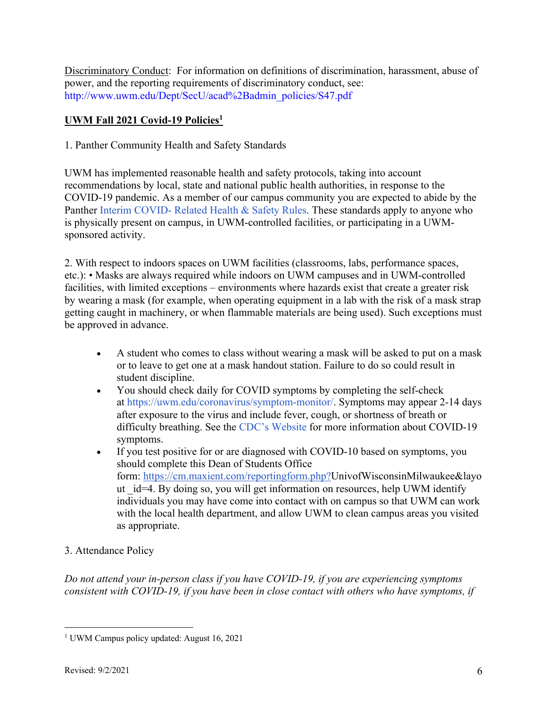Discriminatory Conduct: For information on definitions of discrimination, harassment, abuse of power, and the reporting requirements of discriminatory conduct, see: http://www.uwm.edu/Dept/SecU/acad%2Badmin\_policies/S47.pdf

## **UWM Fall 2021 Covid-19 Policies1**

1. Panther Community Health and Safety Standards

UWM has implemented reasonable health and safety protocols, taking into account recommendations by local, state and national public health authorities, in response to the COVID-19 pandemic. As a member of our campus community you are expected to abide by the Panther Interim COVID- Related Health & Safety Rules. These standards apply to anyone who is physically present on campus, in UWM-controlled facilities, or participating in a UWMsponsored activity.

2. With respect to indoors spaces on UWM facilities (classrooms, labs, performance spaces, etc.): • Masks are always required while indoors on UWM campuses and in UWM-controlled facilities, with limited exceptions – environments where hazards exist that create a greater risk by wearing a mask (for example, when operating equipment in a lab with the risk of a mask strap getting caught in machinery, or when flammable materials are being used). Such exceptions must be approved in advance.

- A student who comes to class without wearing a mask will be asked to put on a mask or to leave to get one at a mask handout station. Failure to do so could result in student discipline.
- You should check daily for COVID symptoms by completing the self-check at https://uwm.edu/coronavirus/symptom-monitor/. Symptoms may appear 2-14 days after exposure to the virus and include fever, cough, or shortness of breath or difficulty breathing. See the CDC's Website for more information about COVID-19 symptoms.
- If you test positive for or are diagnosed with COVID-10 based on symptoms, you should complete this Dean of Students Office form: https://cm.maxient.com/reportingform.php?UnivofWisconsinMilwaukee&layo ut id=4. By doing so, you will get information on resources, help UWM identify individuals you may have come into contact with on campus so that UWM can work with the local health department, and allow UWM to clean campus areas you visited as appropriate.

## 3. Attendance Policy

*Do not attend your in-person class if you have COVID-19, if you are experiencing symptoms consistent with COVID-19, if you have been in close contact with others who have symptoms, if* 

<sup>&</sup>lt;sup>1</sup> UWM Campus policy updated: August 16, 2021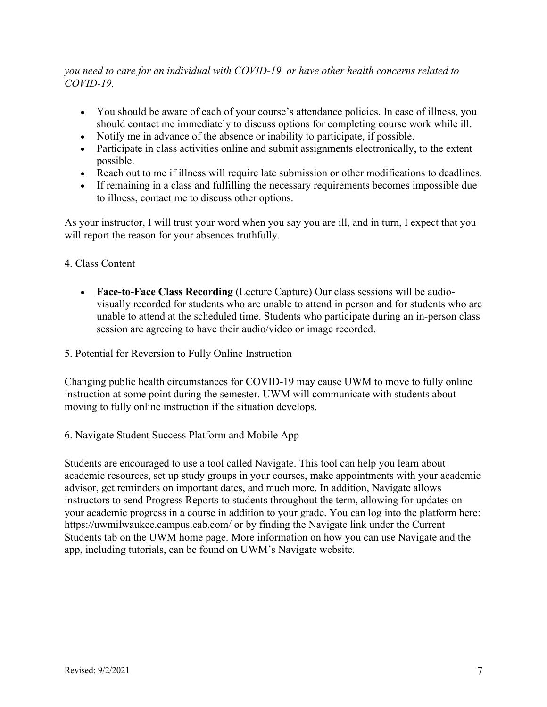*you need to care for an individual with COVID-19, or have other health concerns related to COVID-19.*

- You should be aware of each of your course's attendance policies. In case of illness, you should contact me immediately to discuss options for completing course work while ill.
- Notify me in advance of the absence or inability to participate, if possible.
- Participate in class activities online and submit assignments electronically, to the extent possible.
- Reach out to me if illness will require late submission or other modifications to deadlines.
- If remaining in a class and fulfilling the necessary requirements becomes impossible due to illness, contact me to discuss other options.

As your instructor, I will trust your word when you say you are ill, and in turn, I expect that you will report the reason for your absences truthfully.

## 4. Class Content

- **Face-to-Face Class Recording** (Lecture Capture) Our class sessions will be audiovisually recorded for students who are unable to attend in person and for students who are unable to attend at the scheduled time. Students who participate during an in-person class session are agreeing to have their audio/video or image recorded.
- 5. Potential for Reversion to Fully Online Instruction

Changing public health circumstances for COVID-19 may cause UWM to move to fully online instruction at some point during the semester. UWM will communicate with students about moving to fully online instruction if the situation develops.

6. Navigate Student Success Platform and Mobile App

Students are encouraged to use a tool called Navigate. This tool can help you learn about academic resources, set up study groups in your courses, make appointments with your academic advisor, get reminders on important dates, and much more. In addition, Navigate allows instructors to send Progress Reports to students throughout the term, allowing for updates on your academic progress in a course in addition to your grade. You can log into the platform here: https://uwmilwaukee.campus.eab.com/ or by finding the Navigate link under the Current Students tab on the UWM home page. More information on how you can use Navigate and the app, including tutorials, can be found on UWM's Navigate website.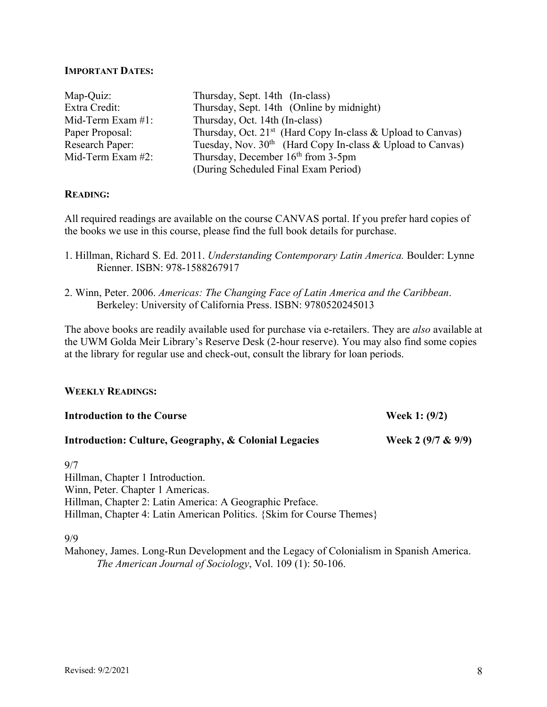### **IMPORTANT DATES:**

| Map-Quiz:              | Thursday, Sept. 14th (In-class)                                         |
|------------------------|-------------------------------------------------------------------------|
| Extra Credit:          | Thursday, Sept. 14th (Online by midnight)                               |
| Mid-Term Exam $#1$ :   | Thursday, Oct. 14th (In-class)                                          |
| Paper Proposal:        | Thursday, Oct. 21 <sup>st</sup> (Hard Copy In-class & Upload to Canvas) |
| <b>Research Paper:</b> | Tuesday, Nov. $30th$ (Hard Copy In-class & Upload to Canvas)            |
| Mid-Term Exam $#2$ :   | Thursday, December $16th$ from 3-5pm                                    |
|                        | (During Scheduled Final Exam Period)                                    |

### **READING:**

All required readings are available on the course CANVAS portal. If you prefer hard copies of the books we use in this course, please find the full book details for purchase.

- 1. Hillman, Richard S. Ed. 2011. *Understanding Contemporary Latin America.* Boulder: Lynne Rienner. ISBN: 978-1588267917
- 2. Winn, Peter. 2006. *Americas: The Changing Face of Latin America and the Caribbean*. Berkeley: University of California Press. ISBN: 9780520245013

The above books are readily available used for purchase via e-retailers. They are *also* available at the UWM Golda Meir Library's Reserve Desk (2-hour reserve). You may also find some copies at the library for regular use and check-out, consult the library for loan periods.

### **WEEKLY READINGS:**

| <b>Introduction to the Course</b>                                | Week 1: $(9/2)$       |  |
|------------------------------------------------------------------|-----------------------|--|
| <b>Introduction: Culture, Geography, &amp; Colonial Legacies</b> | Week 2 $(9/7 \& 9/9)$ |  |
| 9/7                                                              |                       |  |
| Hillman, Chapter 1 Introduction.                                 |                       |  |
| Winn, Peter. Chapter 1 Americas.                                 |                       |  |
| Hillman, Chapter 2: Latin America: A Geographic Preface.         |                       |  |

Hillman, Chapter 4: Latin American Politics. {Skim for Course Themes}

### 9/9

Mahoney, James. Long-Run Development and the Legacy of Colonialism in Spanish America. *The American Journal of Sociology*, Vol. 109 (1): 50-106.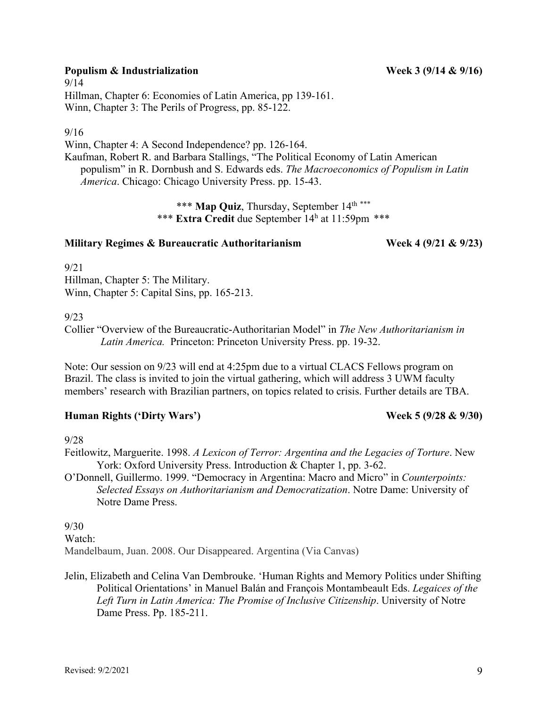# **Populism & Industrialization** Week 3 (9/14 & 9/16)

9/14 Hillman, Chapter 6: Economies of Latin America, pp 139-161. Winn, Chapter 3: The Perils of Progress, pp. 85-122.

## 9/16

Winn, Chapter 4: A Second Independence? pp. 126-164. Kaufman, Robert R. and Barbara Stallings, "The Political Economy of Latin American populism" in R. Dornbush and S. Edwards eds. *The Macroeconomics of Populism in Latin America*. Chicago: Chicago University Press. pp. 15-43.

> \*\*\* **Map Quiz**, Thursday, September 14<sup>th \*\*\*</sup> \*\*\* **Extra Credit** due September 14h at 11:59pm \*\*\*

## **Military Regimes & Bureaucratic Authoritarianism Week 4 (9/21 & 9/23)**

 $9/21$ Hillman, Chapter 5: The Military. Winn, Chapter 5: Capital Sins, pp. 165-213.

## 9/23

Collier "Overview of the Bureaucratic-Authoritarian Model" in *The New Authoritarianism in Latin America.* Princeton: Princeton University Press. pp. 19-32.

Note: Our session on 9/23 will end at 4:25pm due to a virtual CLACS Fellows program on Brazil. The class is invited to join the virtual gathering, which will address 3 UWM faculty members' research with Brazilian partners, on topics related to crisis. Further details are TBA.

## **Human Rights ('Dirty Wars') Week 5 (9/28 & 9/30)**

9/28

Feitlowitz, Marguerite. 1998. *A Lexicon of Terror: Argentina and the Legacies of Torture*. New York: Oxford University Press. Introduction & Chapter 1, pp. 3-62.

O'Donnell, Guillermo. 1999. "Democracy in Argentina: Macro and Micro" in *Counterpoints: Selected Essays on Authoritarianism and Democratization*. Notre Dame: University of Notre Dame Press.

9/30

Watch:

Mandelbaum, Juan. 2008. Our Disappeared. Argentina (Via Canvas)

Jelin, Elizabeth and Celina Van Dembrouke. 'Human Rights and Memory Politics under Shifting Political Orientations' in Manuel Balán and François Montambeault Eds. *Legaices of the*  Left Turn in Latin America: The Promise of Inclusive Citizenship. University of Notre Dame Press. Pp. 185-211.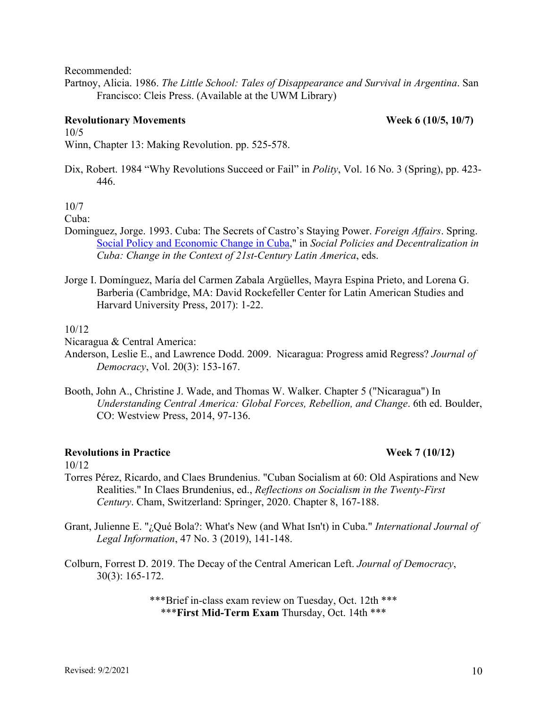Recommended:

Partnoy, Alicia. 1986. *The Little School: Tales of Disappearance and Survival in Argentina*. San Francisco: Cleis Press. (Available at the UWM Library)

## **Revolutionary Movements** Week 6 (10/5, 10/7)

10/5 Winn, Chapter 13: Making Revolution. pp. 525-578.

Dix, Robert. 1984 "Why Revolutions Succeed or Fail" in *Polity*, Vol. 16 No. 3 (Spring), pp. 423- 446.

10/7

### Cuba:

- Dominguez, Jorge. 1993. Cuba: The Secrets of Castro's Staying Power. *Foreign Affairs*. Spring. Social Policy and Economic Change in Cuba," in *Social Policies and Decentralization in Cuba: Change in the Context of 21st-Century Latin America*, eds.
- Jorge I. Domínguez, María del Carmen Zabala Argüelles, Mayra Espina Prieto, and Lorena G. Barberia (Cambridge, MA: David Rockefeller Center for Latin American Studies and Harvard University Press, 2017): 1-22.

### 10/12

Nicaragua & Central America:

- Anderson, Leslie E., and Lawrence Dodd. 2009. Nicaragua: Progress amid Regress? *Journal of Democracy*, Vol. 20(3): 153-167.
- Booth, John A., Christine J. Wade, and Thomas W. Walker. Chapter 5 ("Nicaragua") In *Understanding Central America: Global Forces, Rebellion, and Change*. 6th ed. Boulder, CO: Westview Press, 2014, 97-136.

## **Revolutions in Practice Week 7 (10/12)**

10/12

- Torres Pérez, Ricardo, and Claes Brundenius. "Cuban Socialism at 60: Old Aspirations and New Realities." In Claes Brundenius, ed., *Reflections on Socialism in the Twenty-First Century*. Cham, Switzerland: Springer, 2020. Chapter 8, 167-188.
- Grant, Julienne E. "¿Qué Bola?: What's New (and What Isn't) in Cuba." *International Journal of Legal Information*, 47 No. 3 (2019), 141-148.
- Colburn, Forrest D. 2019. The Decay of the Central American Left. *Journal of Democracy*, 30(3): 165-172.

\*\*\*Brief in-class exam review on Tuesday, Oct. 12th \*\*\* \*\*\***First Mid-Term Exam** Thursday, Oct. 14th \*\*\*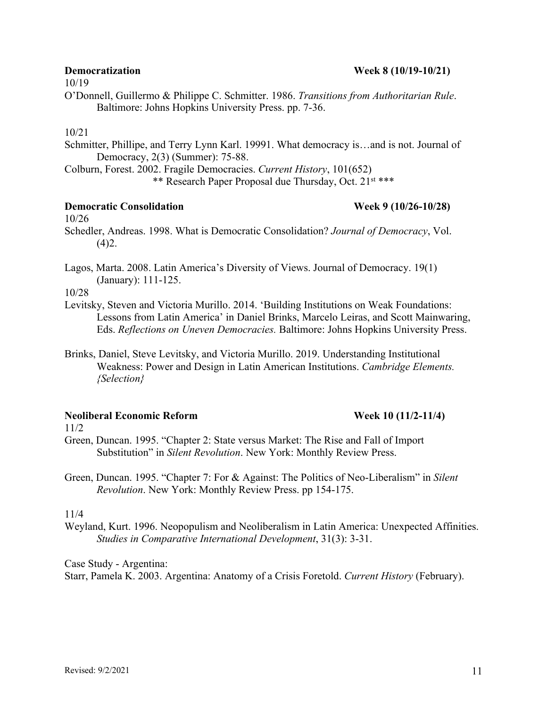## **Democratization Week 8 (10/19-10/21)**

10/19

O'Donnell, Guillermo & Philippe C. Schmitter. 1986. *Transitions from Authoritarian Rule*. Baltimore: Johns Hopkins University Press. pp. 7-36.

## 10/21

Schmitter, Phillipe, and Terry Lynn Karl. 19991. What democracy is…and is not. Journal of Democracy, 2(3) (Summer): 75-88.

Colburn, Forest. 2002. Fragile Democracies. *Current History*, 101(652)

\*\* Research Paper Proposal due Thursday, Oct. 21st \*\*\*

### **Democratic Consolidation Week 9 (10/26-10/28)**

10/26

Schedler, Andreas. 1998. What is Democratic Consolidation? *Journal of Democracy*, Vol.  $(4)2.$ 

Lagos, Marta. 2008. Latin America's Diversity of Views. Journal of Democracy. 19(1) (January): 111-125.

10/28

- Levitsky, Steven and Victoria Murillo. 2014. 'Building Institutions on Weak Foundations: Lessons from Latin America' in Daniel Brinks, Marcelo Leiras, and Scott Mainwaring, Eds. *Reflections on Uneven Democracies.* Baltimore: Johns Hopkins University Press.
- Brinks, Daniel, Steve Levitsky, and Victoria Murillo. 2019. Understanding Institutional Weakness: Power and Design in Latin American Institutions. *Cambridge Elements. {Selection}*

## **Neoliberal Economic Reform Week 10 (11/2-11/4)**

11/2

Green, Duncan. 1995. "Chapter 2: State versus Market: The Rise and Fall of Import Substitution" in *Silent Revolution*. New York: Monthly Review Press.

Green, Duncan. 1995. "Chapter 7: For & Against: The Politics of Neo-Liberalism" in *Silent Revolution*. New York: Monthly Review Press. pp 154-175.

## 11/4

Weyland, Kurt. 1996. Neopopulism and Neoliberalism in Latin America: Unexpected Affinities. *Studies in Comparative International Development*, 31(3): 3-31.

Case Study - Argentina:

Starr, Pamela K. 2003. Argentina: Anatomy of a Crisis Foretold. *Current History* (February).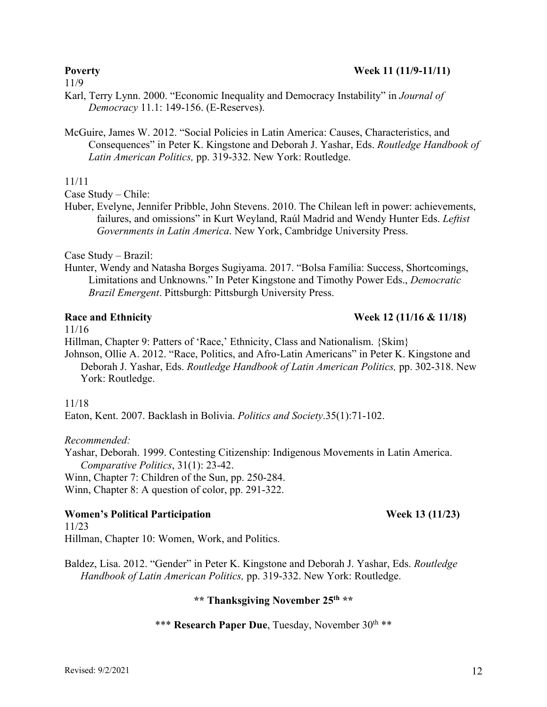### Revised: 9/2/2021 12

11/9

- Karl, Terry Lynn. 2000. "Economic Inequality and Democracy Instability" in *Journal of Democracy* 11.1: 149-156. (E-Reserves).
- McGuire, James W. 2012. "Social Policies in Latin America: Causes, Characteristics, and Consequences" in Peter K. Kingstone and Deborah J. Yashar, Eds. *Routledge Handbook of Latin American Politics,* pp. 319-332. New York: Routledge.

### 11/11

Case Study – Chile:

Huber, Evelyne, Jennifer Pribble, John Stevens. 2010. The Chilean left in power: achievements, failures, and omissions" in Kurt Weyland, Raúl Madrid and Wendy Hunter Eds. *Leftist Governments in Latin America*. New York, Cambridge University Press.

Case Study – Brazil:

Hunter, Wendy and Natasha Borges Sugiyama. 2017. "Bolsa Família: Success, Shortcomings, Limitations and Unknowns." In Peter Kingstone and Timothy Power Eds., *Democratic Brazil Emergent*. Pittsburgh: Pittsburgh University Press.

### **Race and Ethnicity Week 12 (11/16 & 11/18)**

11/16

Hillman, Chapter 9: Patters of 'Race,' Ethnicity, Class and Nationalism. {Skim}

Johnson, Ollie A. 2012. "Race, Politics, and Afro-Latin Americans" in Peter K. Kingstone and Deborah J. Yashar, Eds. *Routledge Handbook of Latin American Politics,* pp. 302-318. New York: Routledge.

### 11/18

Eaton, Kent. 2007. Backlash in Bolivia. *Politics and Society*.35(1):71-102.

### *Recommended:*

Yashar, Deborah. 1999. Contesting Citizenship: Indigenous Movements in Latin America. *Comparative Politics*, 31(1): 23-42.

Winn, Chapter 7: Children of the Sun, pp. 250-284.

Winn, Chapter 8: A question of color, pp. 291-322.

### **Women's Political Participation Week 13 (11/23)**

11/23 Hillman, Chapter 10: Women, Work, and Politics.

Baldez, Lisa. 2012. "Gender" in Peter K. Kingstone and Deborah J. Yashar, Eds. *Routledge Handbook of Latin American Politics,* pp. 319-332. New York: Routledge.

### **\*\* Thanksgiving November 25th \*\***

## \*\*\* **Research Paper Due**, Tuesday, November 30<sup>th</sup> \*\*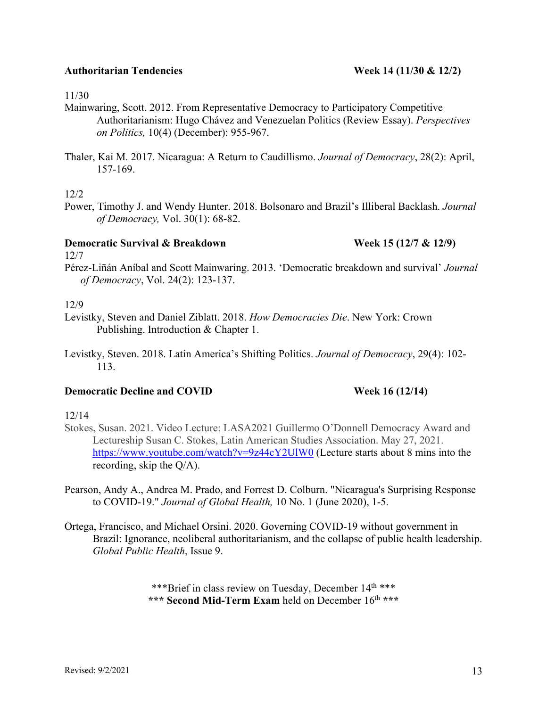11/30

- Mainwaring, Scott. 2012. From Representative Democracy to Participatory Competitive Authoritarianism: Hugo Chávez and Venezuelan Politics (Review Essay). *Perspectives on Politics,* 10(4) (December): 955-967.
- Thaler, Kai M. 2017. Nicaragua: A Return to Caudillismo. *Journal of Democracy*, 28(2): April, 157-169.

12/2

Power, Timothy J. and Wendy Hunter. 2018. Bolsonaro and Brazil's Illiberal Backlash. *Journal of Democracy,* Vol. 30(1): 68-82.

## **Democratic Survival & Breakdown Week 15 (12/7 & 12/9)**

12/7

Pérez-Liñán Aníbal and Scott Mainwaring. 2013. 'Democratic breakdown and survival' *Journal of Democracy*, Vol. 24(2): 123-137.

12/9

- Levistky, Steven and Daniel Ziblatt. 2018. *How Democracies Die*. New York: Crown Publishing. Introduction & Chapter 1.
- Levistky, Steven. 2018. Latin America's Shifting Politics. *Journal of Democracy*, 29(4): 102- 113.

## **Democratic Decline and COVID** Week 16 (12/14)

### 12/14

- Stokes, Susan. 2021. Video Lecture: LASA2021 Guillermo O'Donnell Democracy Award and Lectureship Susan C. Stokes, Latin American Studies Association. May 27, 2021. https://www.youtube.com/watch?v=9z44cY2UlW0 (Lecture starts about 8 mins into the recording, skip the Q/A).
- Pearson, Andy A., Andrea M. Prado, and Forrest D. Colburn. "Nicaragua's Surprising Response to COVID-19." *Journal of Global Health,* 10 No. 1 (June 2020), 1-5.
- Ortega, Francisco, and Michael Orsini. 2020. Governing COVID-19 without government in Brazil: Ignorance, neoliberal authoritarianism, and the collapse of public health leadership. *Global Public Health*, Issue 9.

\*\*\*Brief in class review on Tuesday, December 14<sup>th</sup> \*\*\* \*\*\* **Second Mid-Term Exam** held on December 16<sup>th</sup> \*\*\*